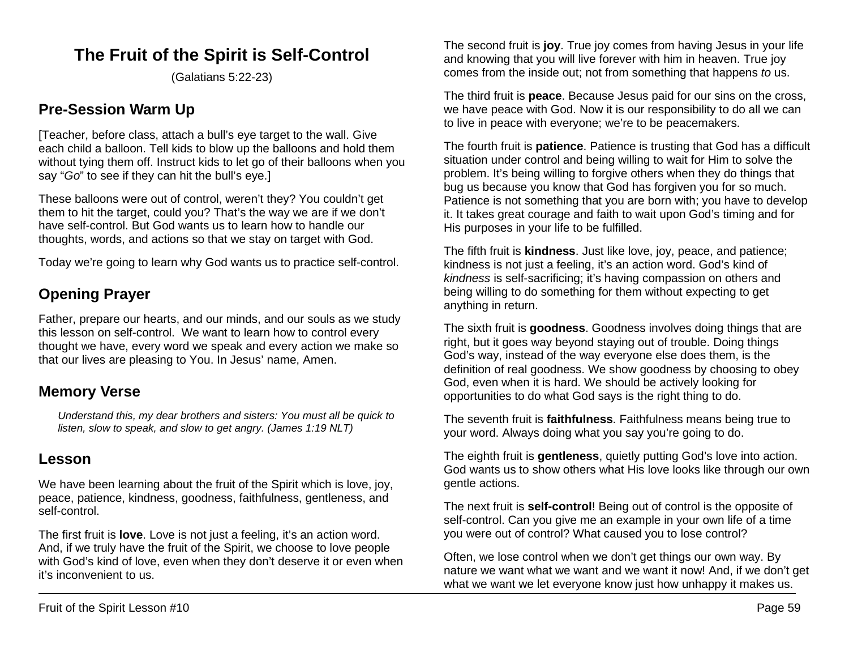# **The Fruit of the Spirit is Self-Control**

(Galatians 5:22-23)

# **Pre-Session Warm Up**

[Teacher, before class, attach a bull's eye target to the wall. Give each child a balloon. Tell kids to blow up the balloons and hold them without tying them off. Instruct kids to let go of their balloons when you say "*Go*" to see if they can hit the bull's eye.]

These balloons were out of control, weren't they? You couldn't get them to hit the target, could you? That's the way we are if we don't have self-control. But God wants us to learn how to handle our thoughts, words, and actions so that we stay on target with God.

Today we're going to learn why God wants us to practice self-control.

# **Opening Prayer**

Father, prepare our hearts, and our minds, and our souls as we study this lesson on self-control. We want to learn how to control every thought we have, every word we speak and every action we make so that our lives are pleasing to You. In Jesus' name, Amen.

## **Memory Verse**

*Understand this, my dear brothers and sisters: You must all be quick to listen, slow to speak, and slow to get angry. (James 1:19 NLT)*

## **Lesson**

We have been learning about the fruit of the Spirit which is love, joy, peace, patience, kindness, goodness, faithfulness, gentleness, and self-control.

The first fruit is **love**. Love is not just a feeling, it's an action word. And, if we truly have the fruit of the Spirit, we choose to love people with God's kind of love, even when they don't deserve it or even when it's inconvenient to us.

The second fruit is **joy**. True joy comes from having Jesus in your life and knowing that you will live forever with him in heaven. True joy comes from the inside out; not from something that happens *to* us.

The third fruit is **peace**. Because Jesus paid for our sins on the cross, we have peace with God. Now it is our responsibility to do all we can to live in peace with everyone; we're to be peacemakers.

The fourth fruit is **patience**. Patience is trusting that God has a difficult situation under control and being willing to wait for Him to solve the problem. It's being willing to forgive others when they do things that bug us because you know that God has forgiven you for so much. Patience is not something that you are born with; you have to develop it. It takes great courage and faith to wait upon God's timing and for His purposes in your life to be fulfilled.

The fifth fruit is **kindness**. Just like love, joy, peace, and patience; kindness is not just a feeling, it's an action word. God's kind of *kindness* is self-sacrificing; it's having compassion on others and being willing to do something for them without expecting to get anything in return.

The sixth fruit is **goodness**. Goodness involves doing things that are right, but it goes way beyond staying out of trouble. Doing things God's way, instead of the way everyone else does them, is the definition of real goodness. We show goodness by choosing to obey God, even when it is hard. We should be actively looking for opportunities to do what God says is the right thing to do.

The seventh fruit is **faithfulness**. Faithfulness means being true to your word. Always doing what you say you're going to do.

The eighth fruit is **gentleness**, quietly putting God's love into action. God wants us to show others what His love looks like through our own gentle actions.

The next fruit is **self-control**! Being out of control is the opposite of self-control. Can you give me an example in your own life of a time you were out of control? What caused you to lose control?

Often, we lose control when we don't get things our own way. By nature we want what we want and we want it now! And, if we don't get what we want we let everyone know just how unhappy it makes us.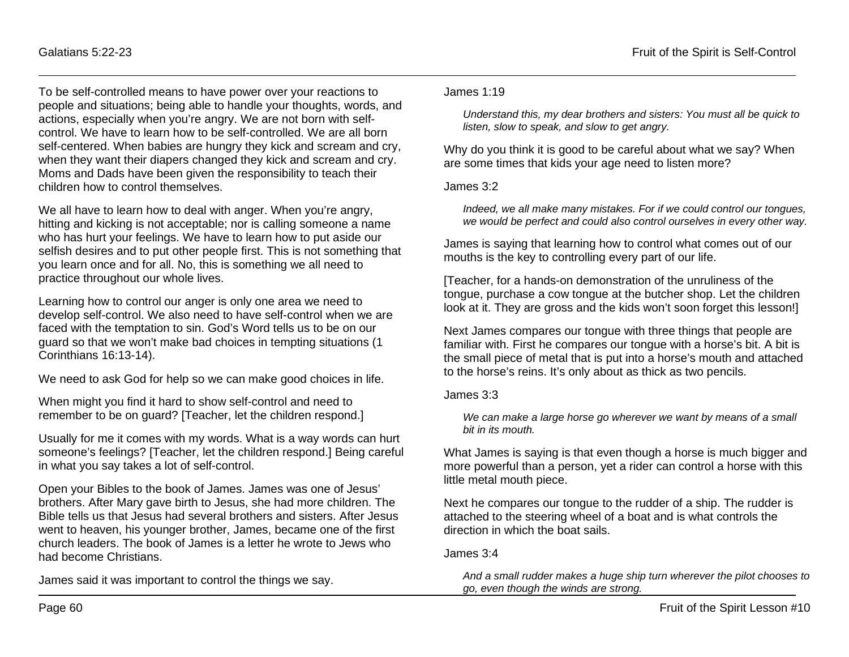To be self-controlled means to have power over your reactions to people and situations; being able to handle your thoughts, words, and actions, especially when you're angry. We are not born with selfcontrol. We have to learn how to be self-controlled. We are all born self-centered. When babies are hungry they kick and scream and cry, when they want their diapers changed they kick and scream and cry. Moms and Dads have been given the responsibility to teach their children how to control themselves.

We all have to learn how to deal with anger. When you're angry, hitting and kicking is not acceptable; nor is calling someone a name who has hurt your feelings. We have to learn how to put aside our selfish desires and to put other people first. This is not something that you learn once and for all. No, this is something we all need to practice throughout our whole lives.

Learning how to control our anger is only one area we need to develop self-control. We also need to have self-control when we are faced with the temptation to sin. God's Word tells us to be on our guard so that we won't make bad choices in tempting situations (1 Corinthians 16:13-14).

We need to ask God for help so we can make good choices in life.

When might you find it hard to show self-control and need to remember to be on guard? [Teacher, let the children respond.]

Usually for me it comes with my words. What is a way words can hurt someone's feelings? [Teacher, let the children respond.] Being careful in what you say takes a lot of self-control.

Open your Bibles to the book of James. James was one of Jesus' brothers. After Mary gave birth to Jesus, she had more children. The Bible tells us that Jesus had several brothers and sisters. After Jesus went to heaven, his younger brother, James, became one of the first church leaders. The book of James is a letter he wrote to Jews who had become Christians.

James said it was important to control the things we say.

#### James 1:19

*Understand this, my dear brothers and sisters: You must all be quick to listen, slow to speak, and slow to get angry.*

Why do you think it is good to be careful about what we say? When are some times that kids your age need to listen more?

#### James 3:2

*Indeed, we all make many mistakes. For if we could control our tongues, we would be perfect and could also control ourselves in every other way.*

James is saying that learning how to control what comes out of our mouths is the key to controlling every part of our life.

[Teacher, for a hands-on demonstration of the unruliness of the tongue, purchase a cow tongue at the butcher shop. Let the children look at it. They are gross and the kids won't soon forget this lesson!]

Next James compares our tongue with three things that people are familiar with. First he compares our tongue with a horse's bit. A bit is the small piece of metal that is put into a horse's mouth and attached to the horse's reins. It's only about as thick as two pencils.

James 3:3

*We can make a large horse go wherever we want by means of a small bit in its mouth.*

What James is saying is that even though a horse is much bigger and more powerful than a person, yet a rider can control a horse with this little metal mouth piece.

Next he compares our tongue to the rudder of a ship. The rudder is attached to the steering wheel of a boat and is what controls the direction in which the boat sails.

#### James 3:4

*And a small rudder makes a huge ship turn wherever the pilot chooses to go, even though the winds are strong.*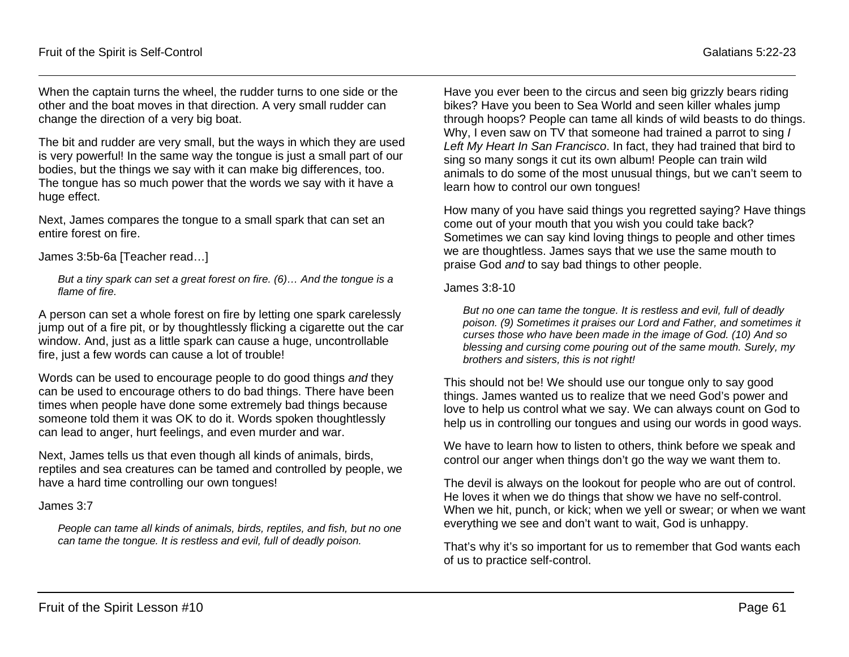When the captain turns the wheel, the rudder turns to one side or the other and the boat moves in that direction. A very small rudder can change the direction of a very big boat.

The bit and rudder are very small, but the ways in which they are used is very powerful! In the same way the tongue is just a small part of our bodies, but the things we say with it can make big differences, too. The tongue has so much power that the words we say with it have a huge effect.

Next, James compares the tongue to a small spark that can set an entire forest on fire.

James 3:5b-6a [Teacher read…]

*But a tiny spark can set a great forest on fire. (6)… And the tongue is a flame of fire.*

A person can set a whole forest on fire by letting one spark carelessly jump out of a fire pit, or by thoughtlessly flicking a cigarette out the car window. And, just as a little spark can cause a huge, uncontrollable fire, just a few words can cause a lot of trouble!

Words can be used to encourage people to do good things *and* they can be used to encourage others to do bad things. There have been times when people have done some extremely bad things because someone told them it was OK to do it. Words spoken thoughtlessly can lead to anger, hurt feelings, and even murder and war.

Next, James tells us that even though all kinds of animals, birds, reptiles and sea creatures can be tamed and controlled by people, we have a hard time controlling our own tongues!

#### James 3:7

*People can tame all kinds of animals, birds, reptiles, and fish, but no one can tame the tongue. It is restless and evil, full of deadly poison.*

Have you ever been to the circus and seen big grizzly bears riding bikes? Have you been to Sea World and seen killer whales jump through hoops? People can tame all kinds of wild beasts to do things. Why, I even saw on TV that someone had trained a parrot to sing *I Left My Heart In San Francisco*. In fact, they had trained that bird to sing so many songs it cut its own album! People can train wild animals to do some of the most unusual things, but we can't seem to learn how to control our own tongues!

How many of you have said things you regretted saying? Have things come out of your mouth that you wish you could take back? Sometimes we can say kind loving things to people and other times we are thoughtless. James says that we use the same mouth to praise God *and* to say bad things to other people.

#### James 3:8-10

*But no one can tame the tongue. It is restless and evil, full of deadly poison. (9) Sometimes it praises our Lord and Father, and sometimes it curses those who have been made in the image of God. (10) And so blessing and cursing come pouring out of the same mouth. Surely, my brothers and sisters, this is not right!*

This should not be! We should use our tongue only to say good things. James wanted us to realize that we need God's power and love to help us control what we say. We can always count on God to help us in controlling our tongues and using our words in good ways.

We have to learn how to listen to others, think before we speak and control our anger when things don't go the way we want them to.

The devil is always on the lookout for people who are out of control. He loves it when we do things that show we have no self-control. When we hit, punch, or kick; when we yell or swear; or when we want everything we see and don't want to wait, God is unhappy.

That's why it's so important for us to remember that God wants each of us to practice self-control.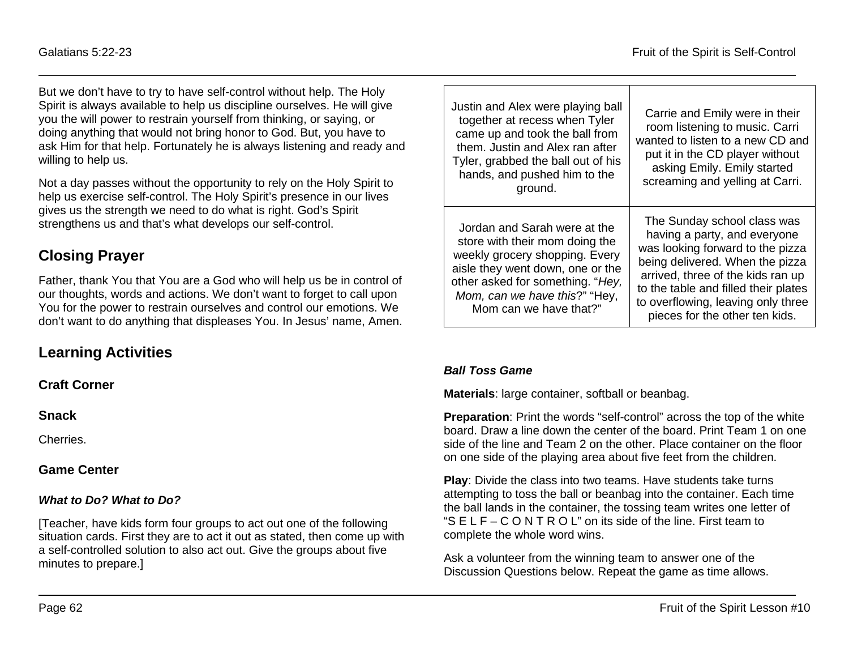But we don't have to try to have self-control without help. The Holy Spirit is always available to help us discipline ourselves. He will give you the will power to restrain yourself from thinking, or saying, or doing anything that would not bring honor to God. But, you have to ask Him for that help. Fortunately he is always listening and ready and willing to help us.

Not a day passes without the opportunity to rely on the Holy Spirit to help us exercise self-control. The Holy Spirit's presence in our lives gives us the strength we need to do what is right. God's Spirit strengthens us and that's what develops our self-control.

# **Closing Prayer**

Father, thank You that You are a God who will help us be in control of our thoughts, words and actions. We don't want to forget to call upon You for the power to restrain ourselves and control our emotions. We don't want to do anything that displeases You. In Jesus' name, Amen.

# **Learning Activities**

**Craft Corner** 

**Snack**

Cherries.

## **Game Center**

### *What to Do? What to Do?*

[Teacher, have kids form four groups to act out one of the following situation cards. First they are to act it out as stated, then come up with a self-controlled solution to also act out. Give the groups about five minutes to prepare.]

| Justin and Alex were playing ball<br>together at recess when Tyler<br>came up and took the ball from<br>them. Justin and Alex ran after<br>Tyler, grabbed the ball out of his<br>hands, and pushed him to the<br>ground.            | Carrie and Emily were in their<br>room listening to music. Carri<br>wanted to listen to a new CD and<br>put it in the CD player without<br>asking Emily. Emily started<br>screaming and yelling at Carri.                                                                               |
|-------------------------------------------------------------------------------------------------------------------------------------------------------------------------------------------------------------------------------------|-----------------------------------------------------------------------------------------------------------------------------------------------------------------------------------------------------------------------------------------------------------------------------------------|
| Jordan and Sarah were at the<br>store with their mom doing the<br>weekly grocery shopping. Every<br>aisle they went down, one or the<br>other asked for something. "Hey,<br>Mom, can we have this?" "Hey,<br>Mom can we have that?" | The Sunday school class was<br>having a party, and everyone<br>was looking forward to the pizza<br>being delivered. When the pizza<br>arrived, three of the kids ran up<br>to the table and filled their plates<br>to overflowing, leaving only three<br>pieces for the other ten kids. |

### *Ball Toss Game*

**Materials**: large container, softball or beanbag.

**Preparation:** Print the words "self-control" across the top of the white board. Draw a line down the center of the board. Print Team 1 on one side of the line and Team 2 on the other. Place container on the floor on one side of the playing area about five feet from the children.

**Play**: Divide the class into two teams. Have students take turns attempting to toss the ball or beanbag into the container. Each time the ball lands in the container, the tossing team writes one letter of "S  $F \perp F - C \cap N \perp R \cap I$ " on its side of the line. First team to complete the whole word wins.

Ask a volunteer from the winning team to answer one of the Discussion Questions below. Repeat the game as time allows.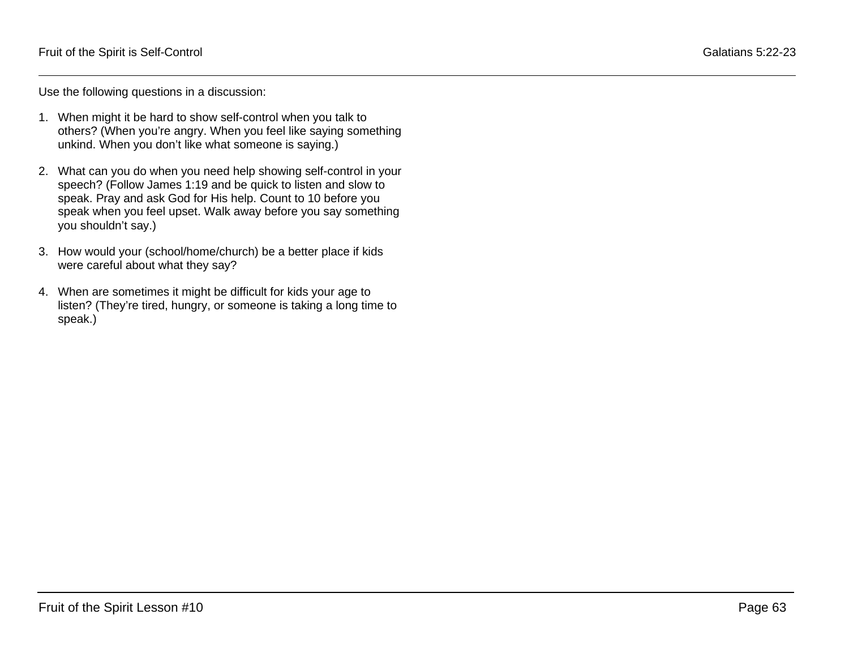Use the following questions in a discussion:

- 1. When might it be hard to show self-control when you talk to others? (When you're angry. When you feel like saying something unkind. When you don't like what someone is saying.)
- 2. What can you do when you need help showing self-control in your speech? (Follow James 1:19 and be quick to listen and slow to speak. Pray and ask God for His help. Count to 10 before you speak when you feel upset. Walk away before you say something you shouldn't say.)
- 3. How would your (school/home/church) be a better place if kids were careful about what they say?
- 4. When are sometimes it might be difficult for kids your age to listen? (They're tired, hungry, or someone is taking a long time to speak.)